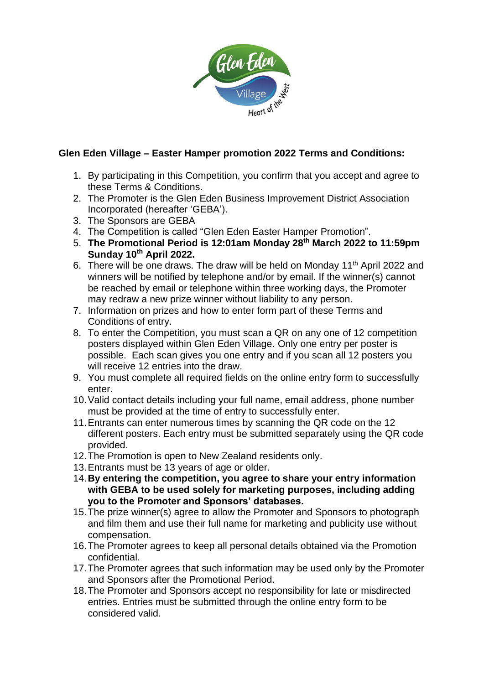

## **Glen Eden Village – Easter Hamper promotion 2022 Terms and Conditions:**

- 1. By participating in this Competition, you confirm that you accept and agree to these Terms & Conditions.
- 2. The Promoter is the Glen Eden Business Improvement District Association Incorporated (hereafter 'GEBA').
- 3. The Sponsors are GEBA
- 4. The Competition is called "Glen Eden Easter Hamper Promotion".
- 5. **The Promotional Period is 12:01am Monday 28th March 2022 to 11:59pm Sunday 10th April 2022.**
- 6. There will be one draws. The draw will be held on Monday  $11<sup>th</sup>$  April 2022 and winners will be notified by telephone and/or by email. If the winner(s) cannot be reached by email or telephone within three working days, the Promoter may redraw a new prize winner without liability to any person.
- 7. Information on prizes and how to enter form part of these Terms and Conditions of entry.
- 8. To enter the Competition, you must scan a QR on any one of 12 competition posters displayed within Glen Eden Village. Only one entry per poster is possible. Each scan gives you one entry and if you scan all 12 posters you will receive 12 entries into the draw.
- 9. You must complete all required fields on the online entry form to successfully enter.
- 10.Valid contact details including your full name, email address, phone number must be provided at the time of entry to successfully enter.
- 11.Entrants can enter numerous times by scanning the QR code on the 12 different posters. Each entry must be submitted separately using the QR code provided.
- 12.The Promotion is open to New Zealand residents only.
- 13.Entrants must be 13 years of age or older.
- 14.**By entering the competition, you agree to share your entry information with GEBA to be used solely for marketing purposes, including adding you to the Promoter and Sponsors' databases.**
- 15.The prize winner(s) agree to allow the Promoter and Sponsors to photograph and film them and use their full name for marketing and publicity use without compensation.
- 16.The Promoter agrees to keep all personal details obtained via the Promotion confidential.
- 17.The Promoter agrees that such information may be used only by the Promoter and Sponsors after the Promotional Period.
- 18.The Promoter and Sponsors accept no responsibility for late or misdirected entries. Entries must be submitted through the online entry form to be considered valid.